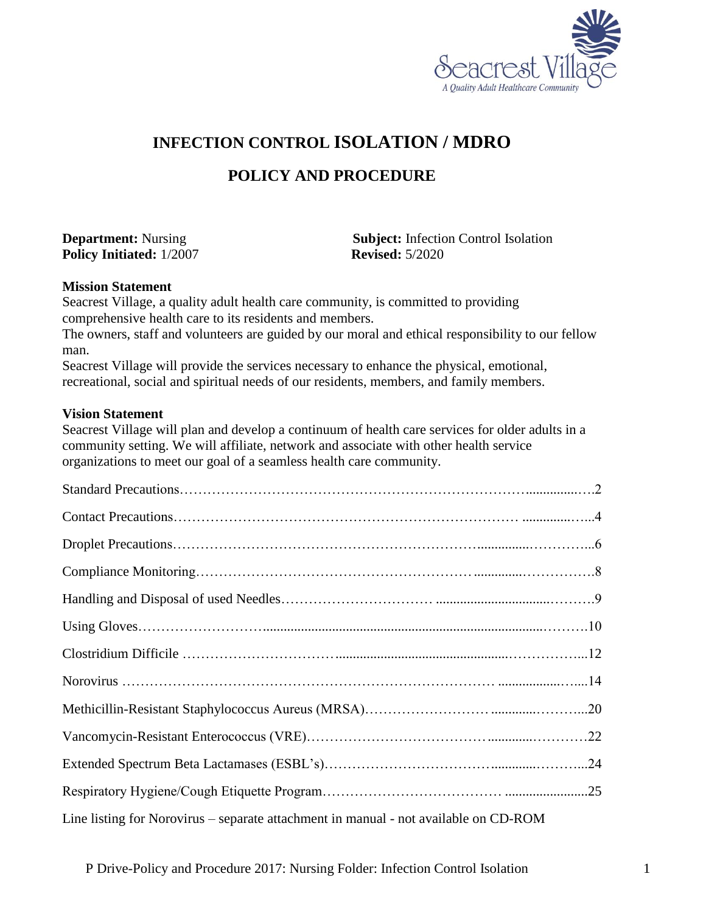

## **INFECTION CONTROL ISOLATION / MDRO**

## **POLICY AND PROCEDURE**

**Policy Initiated:** 1/2007 **Revised:** 5/2020

**Department:** Nursing **Subject:** Infection Control Isolation

#### **Mission Statement**

Seacrest Village, a quality adult health care community, is committed to providing comprehensive health care to its residents and members.

The owners, staff and volunteers are guided by our moral and ethical responsibility to our fellow man.

Seacrest Village will provide the services necessary to enhance the physical, emotional, recreational, social and spiritual needs of our residents, members, and family members.

#### **Vision Statement**

Seacrest Village will plan and develop a continuum of health care services for older adults in a community setting. We will affiliate, network and associate with other health service organizations to meet our goal of a seamless health care community.

| Line listing for Norovirus - separate attachment in manual - not available on CD-ROM |  |
|--------------------------------------------------------------------------------------|--|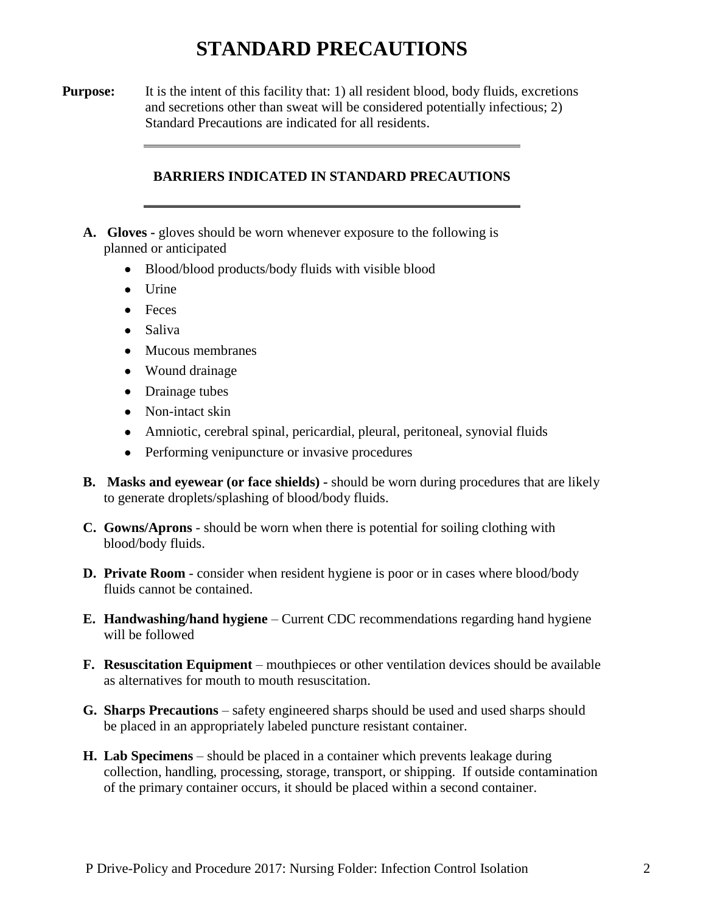# **STANDARD PRECAUTIONS**

**Purpose:** It is the intent of this facility that: 1) all resident blood, body fluids, excretions and secretions other than sweat will be considered potentially infectious; 2) Standard Precautions are indicated for all residents.

#### **BARRIERS INDICATED IN STANDARD PRECAUTIONS**

- **A. Gloves -** gloves should be worn whenever exposure to the following is planned or anticipated
	- Blood/blood products/body fluids with visible blood
	- $\bullet$  Urine
	- Feces
	- Saliva
	- Mucous membranes
	- Wound drainage
	- Drainage tubes
	- Non-intact skin
	- Amniotic, cerebral spinal, pericardial, pleural, peritoneal, synovial fluids
	- Performing venipuncture or invasive procedures
- **B. Masks and eyewear (or face shields) -** should be worn during procedures that are likely to generate droplets/splashing of blood/body fluids.
- **C. Gowns/Aprons** should be worn when there is potential for soiling clothing with blood/body fluids.
- **D. Private Room** consider when resident hygiene is poor or in cases where blood/body fluids cannot be contained.
- **E. Handwashing/hand hygiene** Current CDC recommendations regarding hand hygiene will be followed
- **F. Resuscitation Equipment** mouthpieces or other ventilation devices should be available as alternatives for mouth to mouth resuscitation.
- **G. Sharps Precautions** safety engineered sharps should be used and used sharps should be placed in an appropriately labeled puncture resistant container.
- **H. Lab Specimens** should be placed in a container which prevents leakage during collection, handling, processing, storage, transport, or shipping. If outside contamination of the primary container occurs, it should be placed within a second container.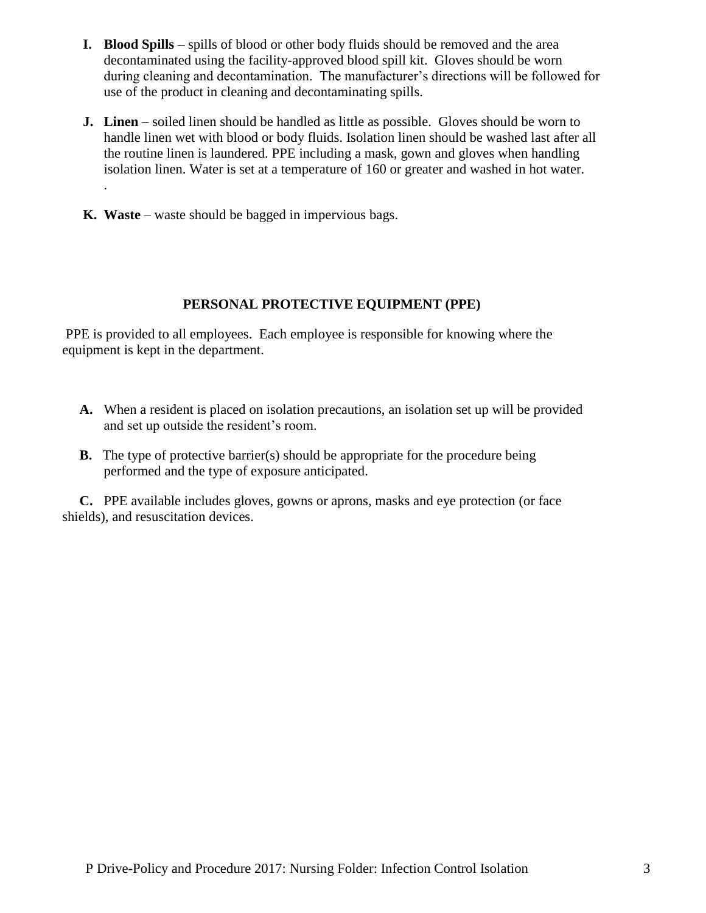- **I. Blood Spills** spills of blood or other body fluids should be removed and the area decontaminated using the facility-approved blood spill kit. Gloves should be worn during cleaning and decontamination. The manufacturer's directions will be followed for use of the product in cleaning and decontaminating spills.
- **J. Linen** soiled linen should be handled as little as possible. Gloves should be worn to handle linen wet with blood or body fluids. Isolation linen should be washed last after all the routine linen is laundered. PPE including a mask, gown and gloves when handling isolation linen. Water is set at a temperature of 160 or greater and washed in hot water.
- **K. Waste** waste should be bagged in impervious bags.

.

### **PERSONAL PROTECTIVE EQUIPMENT (PPE)**

PPE is provided to all employees. Each employee is responsible for knowing where the equipment is kept in the department.

- **A.** When a resident is placed on isolation precautions, an isolation set up will be provided and set up outside the resident's room.
- **B.** The type of protective barrier(s) should be appropriate for the procedure being performed and the type of exposure anticipated.

 **C.** PPE available includes gloves, gowns or aprons, masks and eye protection (or face shields), and resuscitation devices.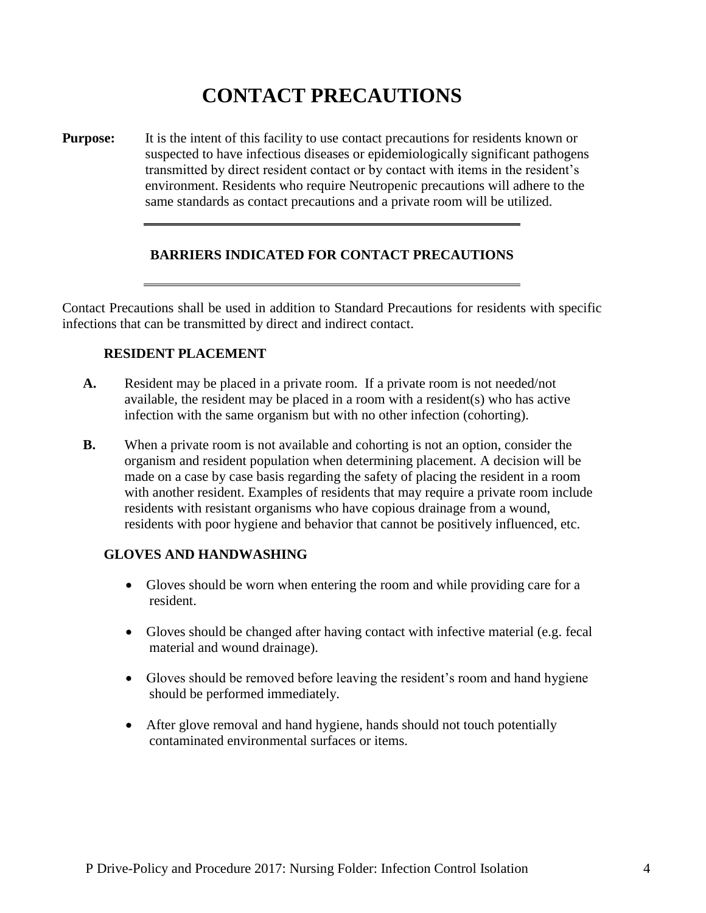# **CONTACT PRECAUTIONS**

**Purpose:** It is the intent of this facility to use contact precautions for residents known or suspected to have infectious diseases or epidemiologically significant pathogens transmitted by direct resident contact or by contact with items in the resident's environment. Residents who require Neutropenic precautions will adhere to the same standards as contact precautions and a private room will be utilized.

#### **BARRIERS INDICATED FOR CONTACT PRECAUTIONS**

Contact Precautions shall be used in addition to Standard Precautions for residents with specific infections that can be transmitted by direct and indirect contact.

#### **RESIDENT PLACEMENT**

- **A.** Resident may be placed in a private room. If a private room is not needed/not available, the resident may be placed in a room with a resident(s) who has active infection with the same organism but with no other infection (cohorting).
- **B.** When a private room is not available and cohorting is not an option, consider the organism and resident population when determining placement. A decision will be made on a case by case basis regarding the safety of placing the resident in a room with another resident. Examples of residents that may require a private room include residents with resistant organisms who have copious drainage from a wound, residents with poor hygiene and behavior that cannot be positively influenced, etc.

### **GLOVES AND HANDWASHING**

- Gloves should be worn when entering the room and while providing care for a resident.
- Gloves should be changed after having contact with infective material (e.g. fecal material and wound drainage).
- Gloves should be removed before leaving the resident's room and hand hygiene should be performed immediately.
- After glove removal and hand hygiene, hands should not touch potentially contaminated environmental surfaces or items.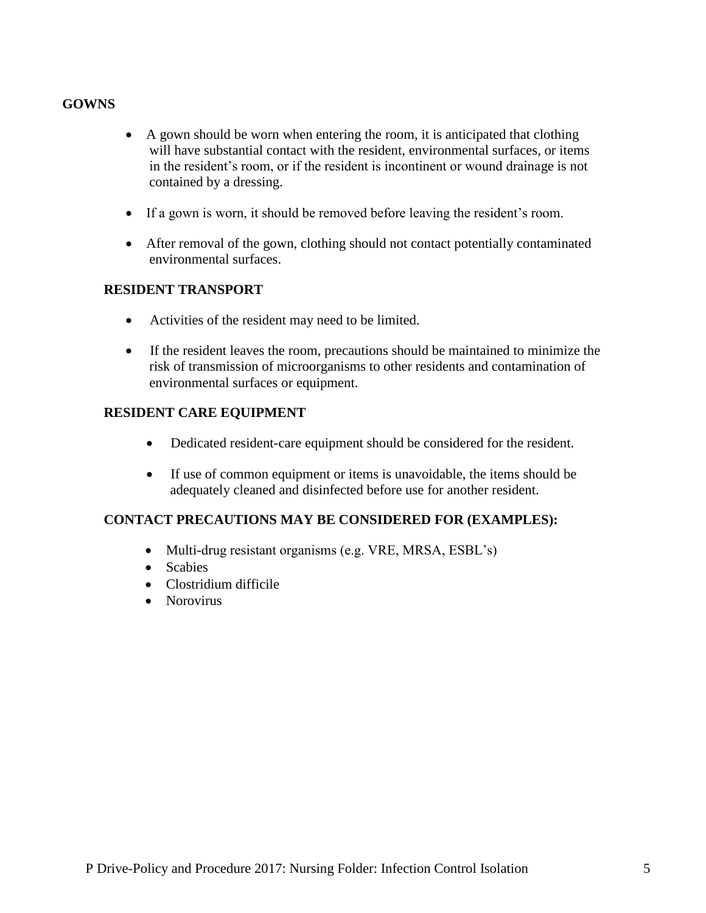### **GOWNS**

- A gown should be worn when entering the room, it is anticipated that clothing will have substantial contact with the resident, environmental surfaces, or items in the resident's room, or if the resident is incontinent or wound drainage is not contained by a dressing.
- If a gown is worn, it should be removed before leaving the resident's room.
- After removal of the gown, clothing should not contact potentially contaminated environmental surfaces.

#### **RESIDENT TRANSPORT**

- Activities of the resident may need to be limited.
- If the resident leaves the room, precautions should be maintained to minimize the risk of transmission of microorganisms to other residents and contamination of environmental surfaces or equipment.

### **RESIDENT CARE EQUIPMENT**

- Dedicated resident-care equipment should be considered for the resident.
- If use of common equipment or items is unavoidable, the items should be adequately cleaned and disinfected before use for another resident.

### **CONTACT PRECAUTIONS MAY BE CONSIDERED FOR (EXAMPLES):**

- Multi-drug resistant organisms (e.g. VRE, MRSA, ESBL's)
- Scabies
- Clostridium difficile
- Norovirus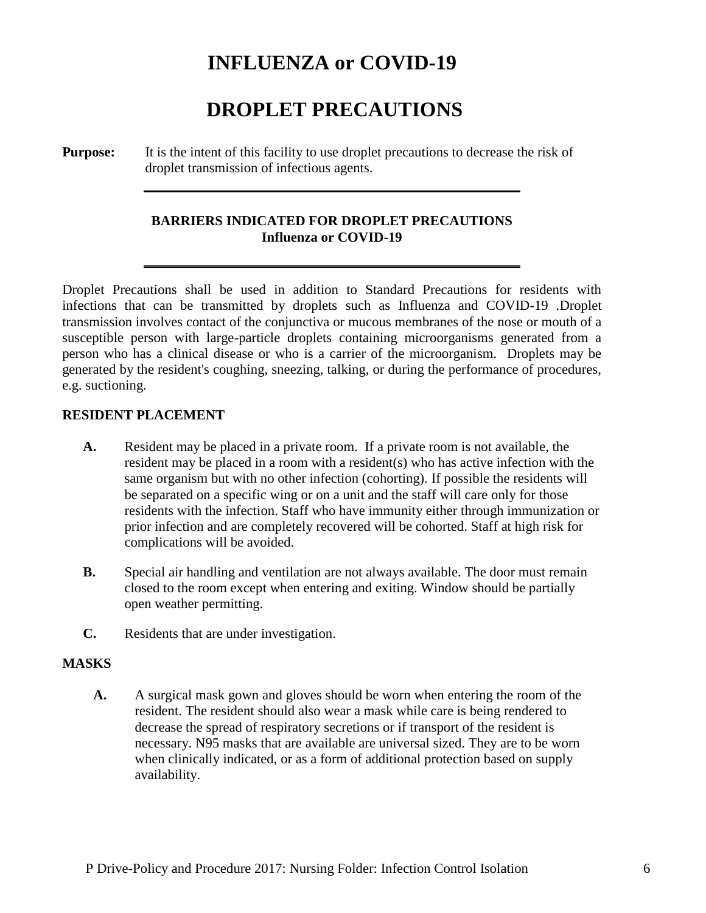## **INFLUENZA or COVID-19**

# **DROPLET PRECAUTIONS**

**Purpose:** It is the intent of this facility to use droplet precautions to decrease the risk of droplet transmission of infectious agents.

### **BARRIERS INDICATED FOR DROPLET PRECAUTIONS Influenza or COVID-19**

Droplet Precautions shall be used in addition to Standard Precautions for residents with infections that can be transmitted by droplets such as Influenza and COVID-19 .Droplet transmission involves contact of the conjunctiva or mucous membranes of the nose or mouth of a susceptible person with large-particle droplets containing microorganisms generated from a person who has a clinical disease or who is a carrier of the microorganism. Droplets may be generated by the resident's coughing, sneezing, talking, or during the performance of procedures, e.g. suctioning.

#### **RESIDENT PLACEMENT**

- **A.** Resident may be placed in a private room. If a private room is not available, the resident may be placed in a room with a resident(s) who has active infection with the same organism but with no other infection (cohorting). If possible the residents will be separated on a specific wing or on a unit and the staff will care only for those residents with the infection. Staff who have immunity either through immunization or prior infection and are completely recovered will be cohorted. Staff at high risk for complications will be avoided.
- **B.** Special air handling and ventilation are not always available. The door must remain closed to the room except when entering and exiting. Window should be partially open weather permitting.
- **C.** Residents that are under investigation.

#### **MASKS**

**A.** A surgical mask gown and gloves should be worn when entering the room of the resident. The resident should also wear a mask while care is being rendered to decrease the spread of respiratory secretions or if transport of the resident is necessary. N95 masks that are available are universal sized. They are to be worn when clinically indicated, or as a form of additional protection based on supply availability.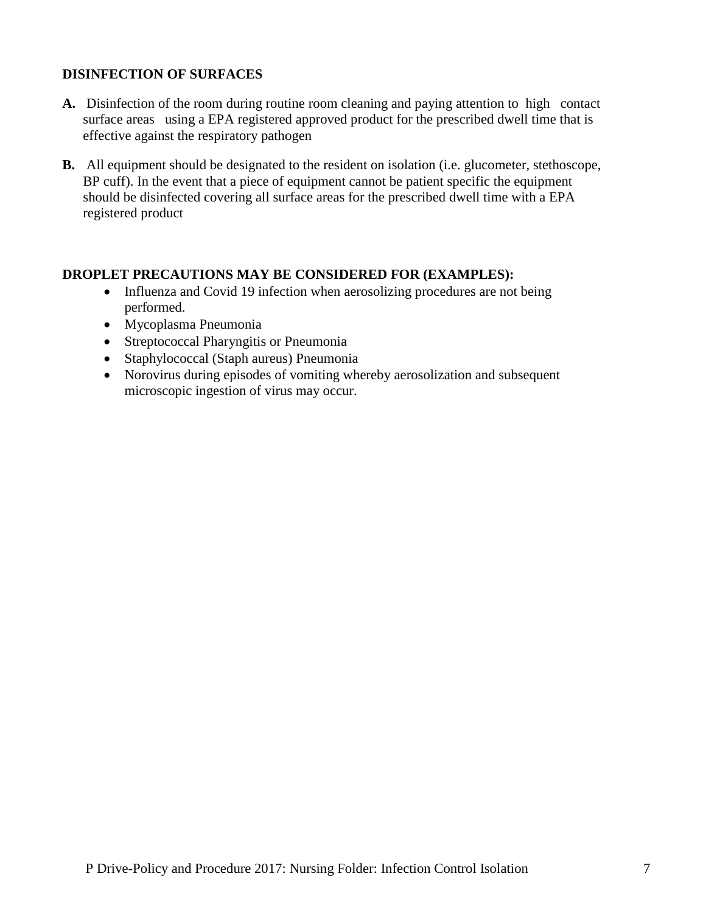### **DISINFECTION OF SURFACES**

- **A.** Disinfection of the room during routine room cleaning and paying attention to high contact surface areas using a EPA registered approved product for the prescribed dwell time that is effective against the respiratory pathogen
- **B.** All equipment should be designated to the resident on isolation (i.e. glucometer, stethoscope, BP cuff). In the event that a piece of equipment cannot be patient specific the equipment should be disinfected covering all surface areas for the prescribed dwell time with a EPA registered product

#### **DROPLET PRECAUTIONS MAY BE CONSIDERED FOR (EXAMPLES):**

- Influenza and Covid 19 infection when aerosolizing procedures are not being performed.
- Mycoplasma Pneumonia
- Streptococcal Pharyngitis or Pneumonia
- Staphylococcal (Staph aureus) Pneumonia
- Norovirus during episodes of vomiting whereby aerosolization and subsequent microscopic ingestion of virus may occur.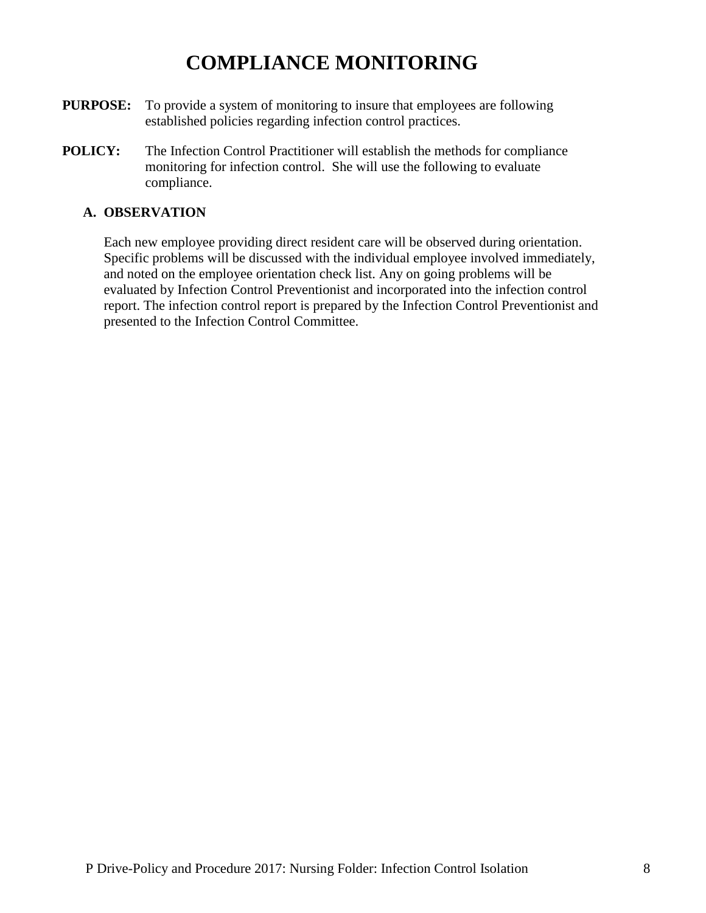## **COMPLIANCE MONITORING**

- **PURPOSE:** To provide a system of monitoring to insure that employees are following established policies regarding infection control practices.
- **POLICY:** The Infection Control Practitioner will establish the methods for compliance monitoring for infection control. She will use the following to evaluate compliance.

#### **A. OBSERVATION**

Each new employee providing direct resident care will be observed during orientation. Specific problems will be discussed with the individual employee involved immediately, and noted on the employee orientation check list. Any on going problems will be evaluated by Infection Control Preventionist and incorporated into the infection control report. The infection control report is prepared by the Infection Control Preventionist and presented to the Infection Control Committee.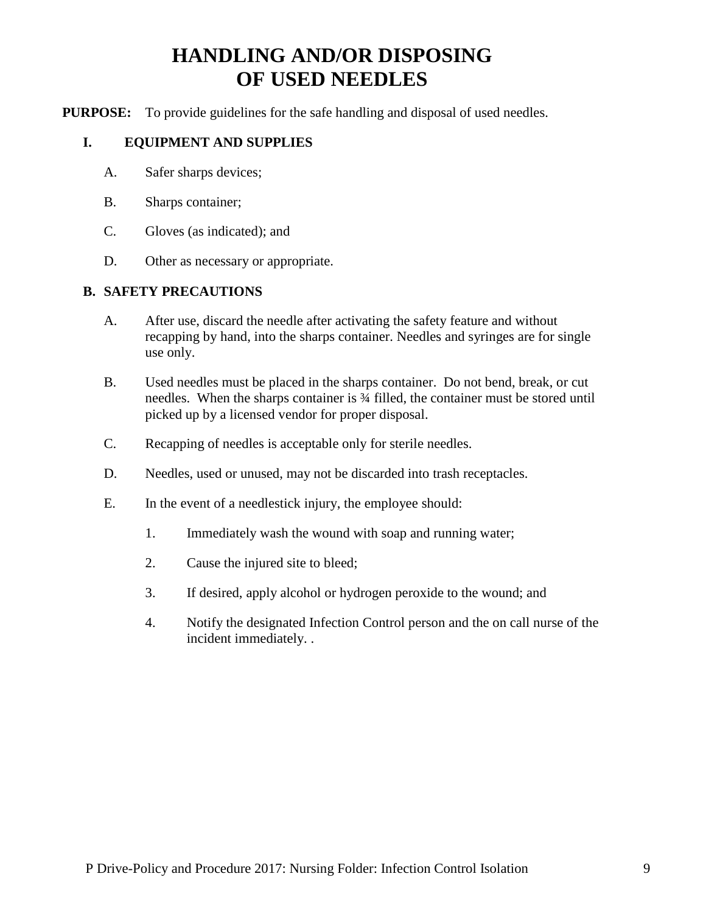# **HANDLING AND/OR DISPOSING OF USED NEEDLES**

**PURPOSE:** To provide guidelines for the safe handling and disposal of used needles.

#### **I. EQUIPMENT AND SUPPLIES**

- A. Safer sharps devices;
- B. Sharps container;
- C. Gloves (as indicated); and
- D. Other as necessary or appropriate.

#### **B. SAFETY PRECAUTIONS**

- A. After use, discard the needle after activating the safety feature and without recapping by hand, into the sharps container. Needles and syringes are for single use only.
- B. Used needles must be placed in the sharps container. Do not bend, break, or cut needles. When the sharps container is ¾ filled, the container must be stored until picked up by a licensed vendor for proper disposal.
- C. Recapping of needles is acceptable only for sterile needles.
- D. Needles, used or unused, may not be discarded into trash receptacles.
- E. In the event of a needlestick injury, the employee should:
	- 1. Immediately wash the wound with soap and running water;
	- 2. Cause the injured site to bleed;
	- 3. If desired, apply alcohol or hydrogen peroxide to the wound; and
	- 4. Notify the designated Infection Control person and the on call nurse of the incident immediately. .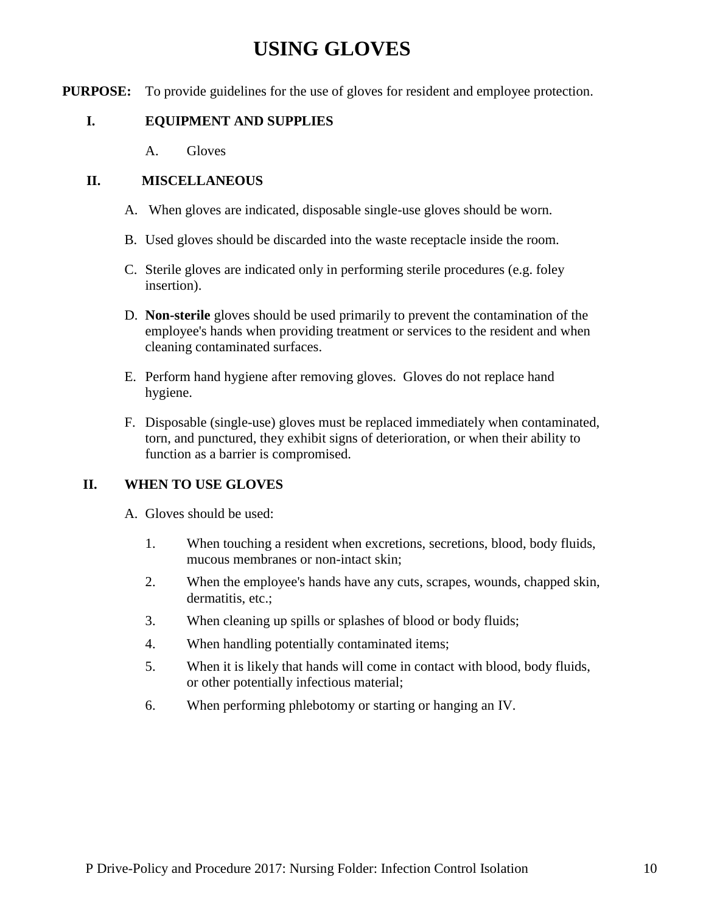## **USING GLOVES**

**PURPOSE:** To provide guidelines for the use of gloves for resident and employee protection.

## **I. EQUIPMENT AND SUPPLIES**

A. Gloves

### **II. MISCELLANEOUS**

- A. When gloves are indicated, disposable single-use gloves should be worn.
- B. Used gloves should be discarded into the waste receptacle inside the room.
- C. Sterile gloves are indicated only in performing sterile procedures (e.g. foley insertion).
- D. **Non-sterile** gloves should be used primarily to prevent the contamination of the employee's hands when providing treatment or services to the resident and when cleaning contaminated surfaces.
- E. Perform hand hygiene after removing gloves. Gloves do not replace hand hygiene.
- F. Disposable (single-use) gloves must be replaced immediately when contaminated, torn, and punctured, they exhibit signs of deterioration, or when their ability to function as a barrier is compromised.

### **II. WHEN TO USE GLOVES**

- A. Gloves should be used:
	- 1. When touching a resident when excretions, secretions, blood, body fluids, mucous membranes or non-intact skin;
	- 2. When the employee's hands have any cuts, scrapes, wounds, chapped skin, dermatitis, etc.:
	- 3. When cleaning up spills or splashes of blood or body fluids;
	- 4. When handling potentially contaminated items;
	- 5. When it is likely that hands will come in contact with blood, body fluids, or other potentially infectious material;
	- 6. When performing phlebotomy or starting or hanging an IV.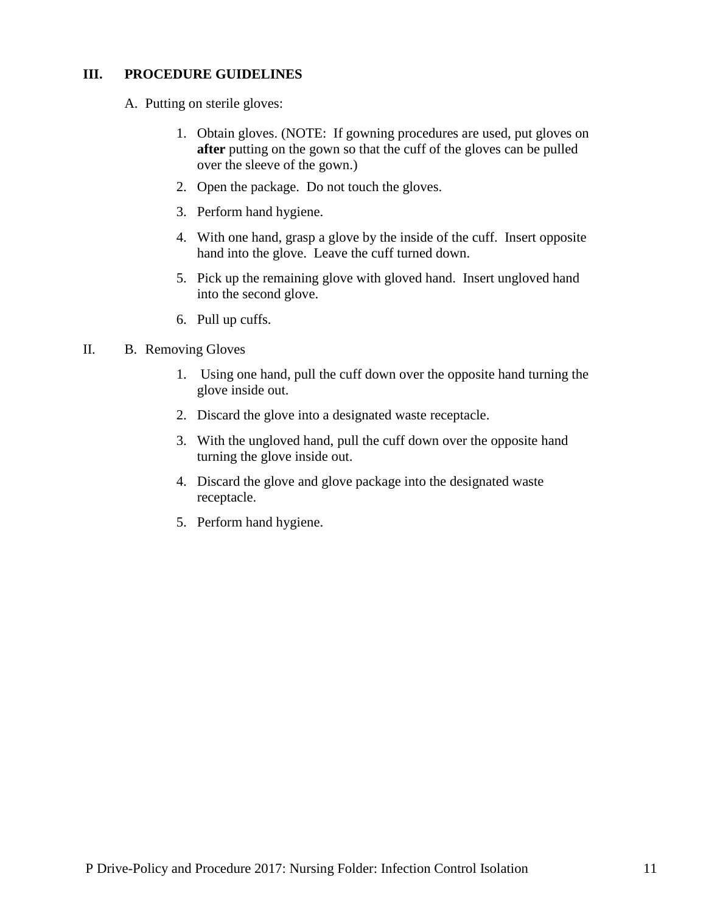#### **III. PROCEDURE GUIDELINES**

A. Putting on sterile gloves:

- 1. Obtain gloves. (NOTE: If gowning procedures are used, put gloves on **after** putting on the gown so that the cuff of the gloves can be pulled over the sleeve of the gown.)
- 2. Open the package. Do not touch the gloves.
- 3. Perform hand hygiene.
- 4. With one hand, grasp a glove by the inside of the cuff. Insert opposite hand into the glove. Leave the cuff turned down.
- 5. Pick up the remaining glove with gloved hand. Insert ungloved hand into the second glove.
- 6. Pull up cuffs.

#### II. B. Removing Gloves

- 1. Using one hand, pull the cuff down over the opposite hand turning the glove inside out.
- 2. Discard the glove into a designated waste receptacle.
- 3. With the ungloved hand, pull the cuff down over the opposite hand turning the glove inside out.
- 4. Discard the glove and glove package into the designated waste receptacle.
- 5. Perform hand hygiene.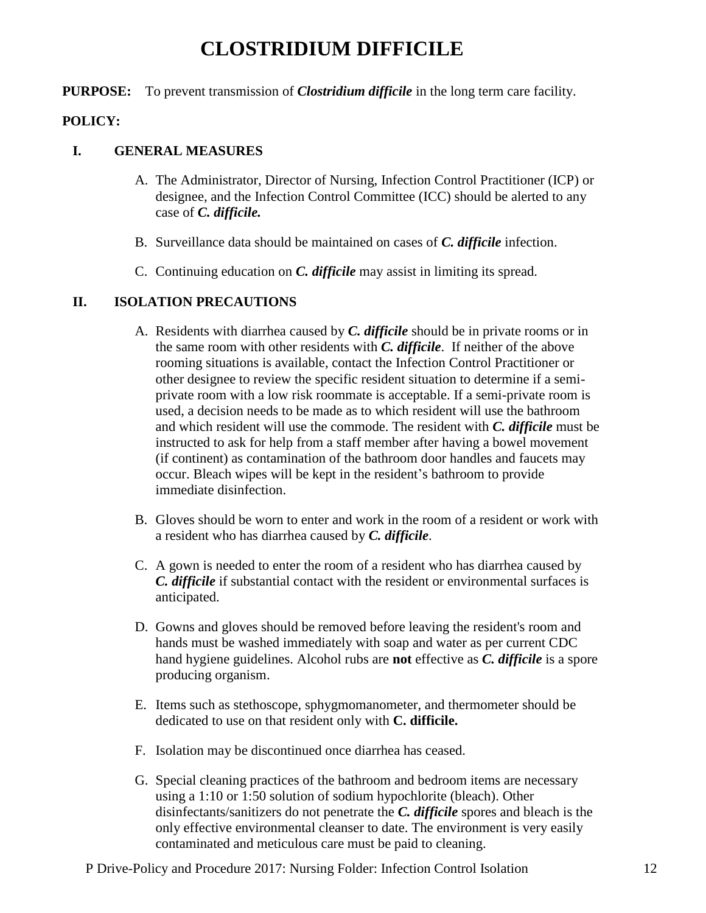## **CLOSTRIDIUM DIFFICILE**

#### **PURPOSE:** To prevent transmission of *Clostridium difficile* in the long term care facility.

#### **POLICY:**

#### **I. GENERAL MEASURES**

- A. The Administrator, Director of Nursing, Infection Control Practitioner (ICP) or designee, and the Infection Control Committee (ICC) should be alerted to any case of *C. difficile.*
- B. Surveillance data should be maintained on cases of *C. difficile* infection.
- C. Continuing education on *C. difficile* may assist in limiting its spread.

### **II. ISOLATION PRECAUTIONS**

- A. Residents with diarrhea caused by *C. difficile* should be in private rooms or in the same room with other residents with *C. difficile*. If neither of the above rooming situations is available, contact the Infection Control Practitioner or other designee to review the specific resident situation to determine if a semiprivate room with a low risk roommate is acceptable. If a semi-private room is used, a decision needs to be made as to which resident will use the bathroom and which resident will use the commode. The resident with *C. difficile* must be instructed to ask for help from a staff member after having a bowel movement (if continent) as contamination of the bathroom door handles and faucets may occur. Bleach wipes will be kept in the resident's bathroom to provide immediate disinfection.
- B. Gloves should be worn to enter and work in the room of a resident or work with a resident who has diarrhea caused by *C. difficile*.
- C. A gown is needed to enter the room of a resident who has diarrhea caused by *C. difficile* if substantial contact with the resident or environmental surfaces is anticipated.
- D. Gowns and gloves should be removed before leaving the resident's room and hands must be washed immediately with soap and water as per current CDC hand hygiene guidelines. Alcohol rubs are **not** effective as *C. difficile* is a spore producing organism.
- E. Items such as stethoscope, sphygmomanometer, and thermometer should be dedicated to use on that resident only with **C. difficile.**
- F. Isolation may be discontinued once diarrhea has ceased.
- G. Special cleaning practices of the bathroom and bedroom items are necessary using a 1:10 or 1:50 solution of sodium hypochlorite (bleach). Other disinfectants/sanitizers do not penetrate the *C. difficile* spores and bleach is the only effective environmental cleanser to date. The environment is very easily contaminated and meticulous care must be paid to cleaning.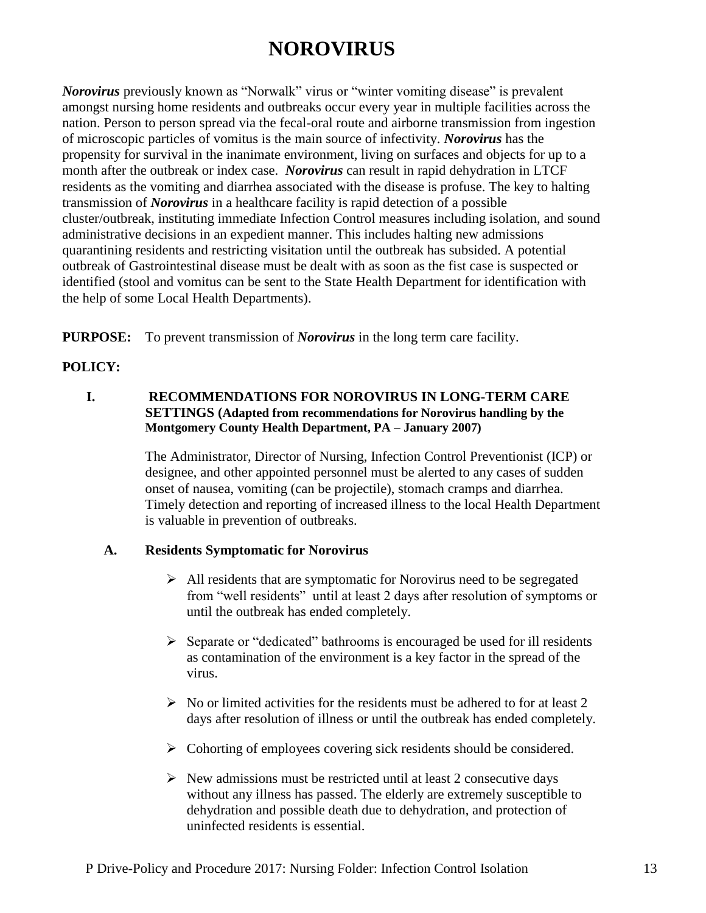## **NOROVIRUS**

*Norovirus* previously known as "Norwalk" virus or "winter vomiting disease" is prevalent amongst nursing home residents and outbreaks occur every year in multiple facilities across the nation. Person to person spread via the fecal-oral route and airborne transmission from ingestion of microscopic particles of vomitus is the main source of infectivity. *Norovirus* has the propensity for survival in the inanimate environment, living on surfaces and objects for up to a month after the outbreak or index case. *Norovirus* can result in rapid dehydration in LTCF residents as the vomiting and diarrhea associated with the disease is profuse. The key to halting transmission of *Norovirus* in a healthcare facility is rapid detection of a possible cluster/outbreak, instituting immediate Infection Control measures including isolation, and sound administrative decisions in an expedient manner. This includes halting new admissions quarantining residents and restricting visitation until the outbreak has subsided. A potential outbreak of Gastrointestinal disease must be dealt with as soon as the fist case is suspected or identified (stool and vomitus can be sent to the State Health Department for identification with the help of some Local Health Departments).

**PURPOSE:** To prevent transmission of *Norovirus* in the long term care facility.

## **POLICY:**

#### **I. RECOMMENDATIONS FOR NOROVIRUS IN LONG-TERM CARE SETTINGS (Adapted from recommendations for Norovirus handling by the Montgomery County Health Department, PA – January 2007)**

The Administrator, Director of Nursing, Infection Control Preventionist (ICP) or designee, and other appointed personnel must be alerted to any cases of sudden onset of nausea, vomiting (can be projectile), stomach cramps and diarrhea. Timely detection and reporting of increased illness to the local Health Department is valuable in prevention of outbreaks.

### **A. Residents Symptomatic for Norovirus**

- $\triangleright$  All residents that are symptomatic for Norovirus need to be segregated from "well residents" until at least 2 days after resolution of symptoms or until the outbreak has ended completely.
- $\triangleright$  Separate or "dedicated" bathrooms is encouraged be used for ill residents as contamination of the environment is a key factor in the spread of the virus.
- $\triangleright$  No or limited activities for the residents must be adhered to for at least 2 days after resolution of illness or until the outbreak has ended completely.
- $\triangleright$  Cohorting of employees covering sick residents should be considered.
- $\triangleright$  New admissions must be restricted until at least 2 consecutive days without any illness has passed. The elderly are extremely susceptible to dehydration and possible death due to dehydration, and protection of uninfected residents is essential.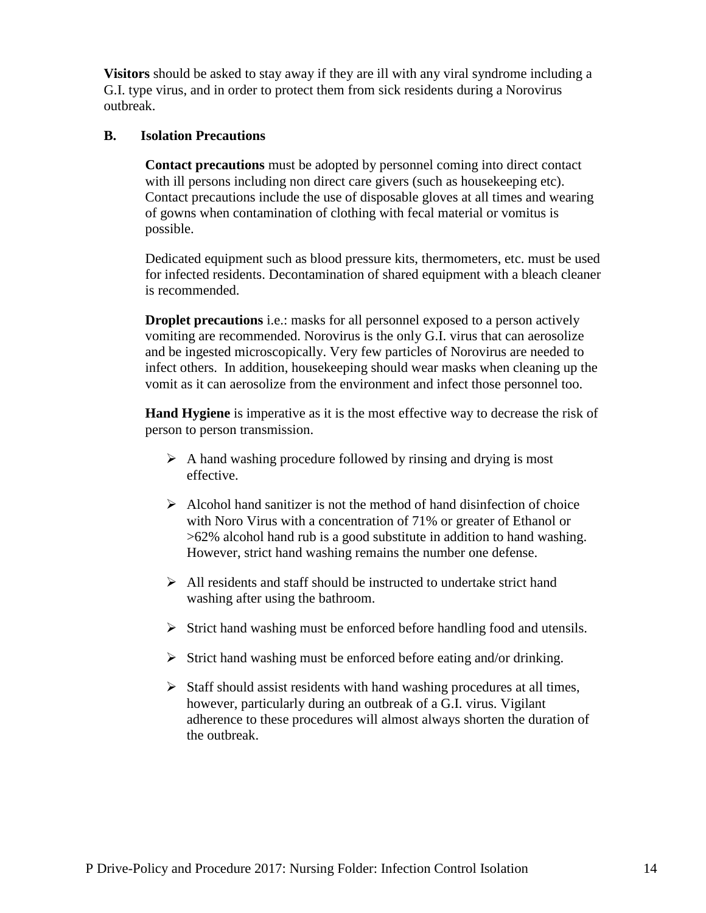**Visitors** should be asked to stay away if they are ill with any viral syndrome including a G.I. type virus, and in order to protect them from sick residents during a Norovirus outbreak.

#### **B. Isolation Precautions**

**Contact precautions** must be adopted by personnel coming into direct contact with ill persons including non direct care givers (such as housekeeping etc). Contact precautions include the use of disposable gloves at all times and wearing of gowns when contamination of clothing with fecal material or vomitus is possible.

Dedicated equipment such as blood pressure kits, thermometers, etc. must be used for infected residents. Decontamination of shared equipment with a bleach cleaner is recommended.

**Droplet precautions** i.e.: masks for all personnel exposed to a person actively vomiting are recommended. Norovirus is the only G.I. virus that can aerosolize and be ingested microscopically. Very few particles of Norovirus are needed to infect others. In addition, housekeeping should wear masks when cleaning up the vomit as it can aerosolize from the environment and infect those personnel too.

**Hand Hygiene** is imperative as it is the most effective way to decrease the risk of person to person transmission.

- $\triangleright$  A hand washing procedure followed by rinsing and drying is most effective.
- $\triangleright$  Alcohol hand sanitizer is not the method of hand disinfection of choice with Noro Virus with a concentration of 71% or greater of Ethanol or >62% alcohol hand rub is a good substitute in addition to hand washing. However, strict hand washing remains the number one defense.
- $\triangleright$  All residents and staff should be instructed to undertake strict hand washing after using the bathroom.
- $\triangleright$  Strict hand washing must be enforced before handling food and utensils.
- $\triangleright$  Strict hand washing must be enforced before eating and/or drinking.
- $\triangleright$  Staff should assist residents with hand washing procedures at all times, however, particularly during an outbreak of a G.I. virus. Vigilant adherence to these procedures will almost always shorten the duration of the outbreak.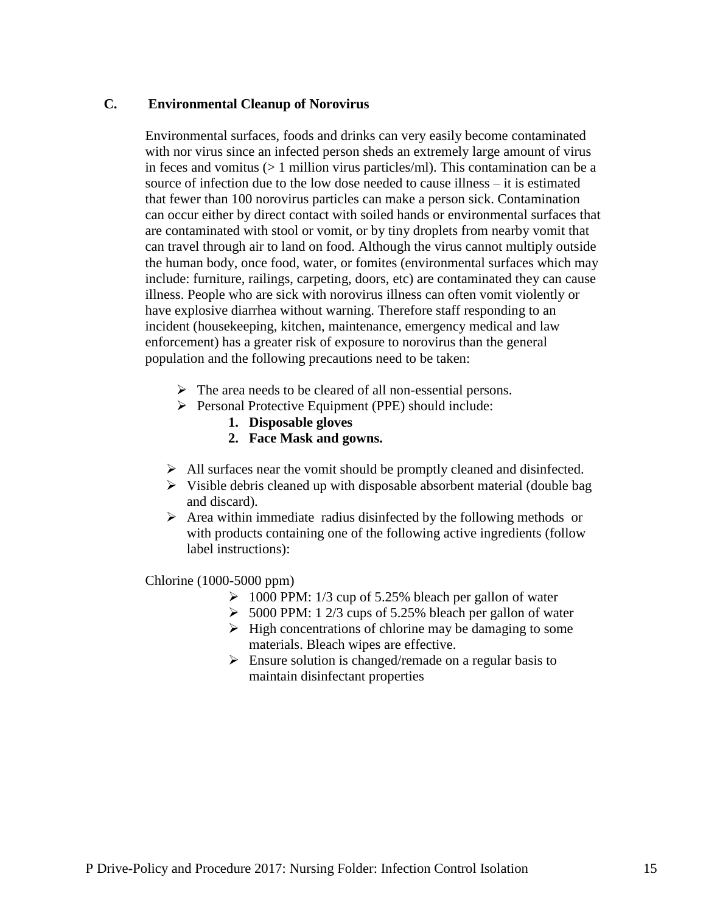#### **C. Environmental Cleanup of Norovirus**

Environmental surfaces, foods and drinks can very easily become contaminated with nor virus since an infected person sheds an extremely large amount of virus in feces and vomitus (> 1 million virus particles/ml). This contamination can be a source of infection due to the low dose needed to cause illness – it is estimated that fewer than 100 norovirus particles can make a person sick. Contamination can occur either by direct contact with soiled hands or environmental surfaces that are contaminated with stool or vomit, or by tiny droplets from nearby vomit that can travel through air to land on food. Although the virus cannot multiply outside the human body, once food, water, or fomites (environmental surfaces which may include: furniture, railings, carpeting, doors, etc) are contaminated they can cause illness. People who are sick with norovirus illness can often vomit violently or have explosive diarrhea without warning. Therefore staff responding to an incident (housekeeping, kitchen, maintenance, emergency medical and law enforcement) has a greater risk of exposure to norovirus than the general population and the following precautions need to be taken:

- $\triangleright$  The area needs to be cleared of all non-essential persons.
- Personal Protective Equipment (PPE) should include:
	- **1. Disposable gloves**
	- **2. Face Mask and gowns.**
- $\triangleright$  All surfaces near the vomit should be promptly cleaned and disinfected.
- $\triangleright$  Visible debris cleaned up with disposable absorbent material (double bag and discard).
- $\triangleright$  Area within immediate radius disinfected by the following methods or with products containing one of the following active ingredients (follow label instructions):

Chlorine (1000-5000 ppm)

- $\geq 1000$  PPM: 1/3 cup of 5.25% bleach per gallon of water
- $\geq 5000$  PPM: 1 2/3 cups of 5.25% bleach per gallon of water
- $\triangleright$  High concentrations of chlorine may be damaging to some materials. Bleach wipes are effective.
- $\triangleright$  Ensure solution is changed/remade on a regular basis to maintain disinfectant properties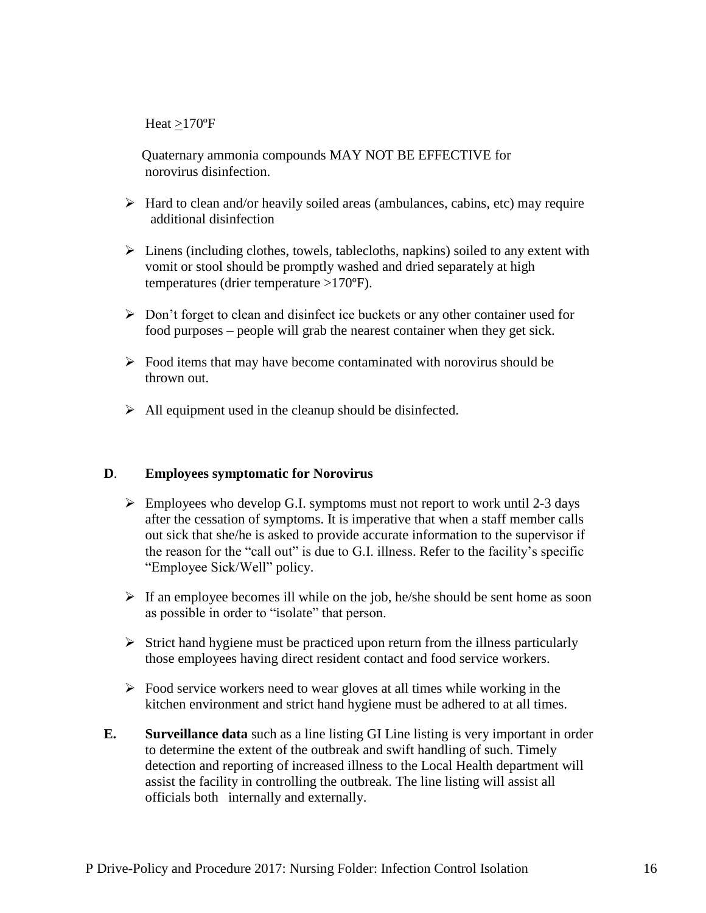Heat >170ºF

 Quaternary ammonia compounds MAY NOT BE EFFECTIVE for norovirus disinfection.

- $\triangleright$  Hard to clean and/or heavily soiled areas (ambulances, cabins, etc) may require additional disinfection
- $\triangleright$  Linens (including clothes, towels, tablecloths, napkins) soiled to any extent with vomit or stool should be promptly washed and dried separately at high temperatures (drier temperature >170ºF).
- $\triangleright$  Don't forget to clean and disinfect ice buckets or any other container used for food purposes – people will grab the nearest container when they get sick.
- $\triangleright$  Food items that may have become contaminated with norovirus should be thrown out.
- $\triangleright$  All equipment used in the cleanup should be disinfected.

#### **D**. **Employees symptomatic for Norovirus**

- $\triangleright$  Employees who develop G.I. symptoms must not report to work until 2-3 days after the cessation of symptoms. It is imperative that when a staff member calls out sick that she/he is asked to provide accurate information to the supervisor if the reason for the "call out" is due to G.I. illness. Refer to the facility's specific "Employee Sick/Well" policy.
- $\triangleright$  If an employee becomes ill while on the job, he/she should be sent home as soon as possible in order to "isolate" that person.
- $\triangleright$  Strict hand hygiene must be practiced upon return from the illness particularly those employees having direct resident contact and food service workers.
- $\triangleright$  Food service workers need to wear gloves at all times while working in the kitchen environment and strict hand hygiene must be adhered to at all times.
- **E. Surveillance data** such as a line listing GI Line listing is very important in order to determine the extent of the outbreak and swift handling of such. Timely detection and reporting of increased illness to the Local Health department will assist the facility in controlling the outbreak. The line listing will assist all officials both internally and externally.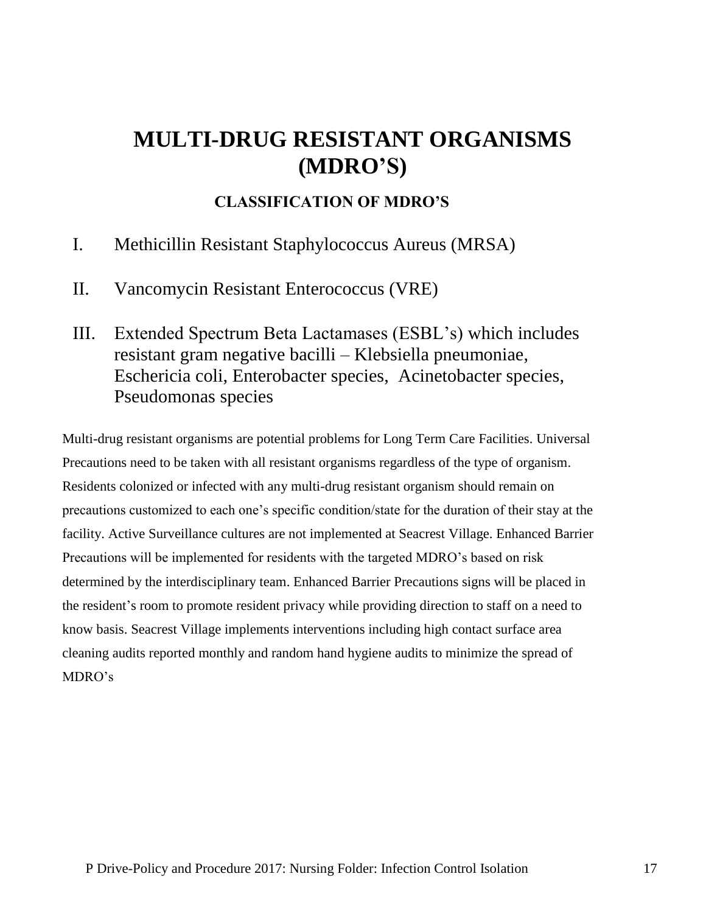# **MULTI-DRUG RESISTANT ORGANISMS (MDRO'S)**

## **CLASSIFICATION OF MDRO'S**

- I. Methicillin Resistant Staphylococcus Aureus (MRSA)
- II. Vancomycin Resistant Enterococcus (VRE)
- III. Extended Spectrum Beta Lactamases (ESBL's) which includes resistant gram negative bacilli – Klebsiella pneumoniae, Eschericia coli, Enterobacter species, Acinetobacter species, Pseudomonas species

Multi-drug resistant organisms are potential problems for Long Term Care Facilities. Universal Precautions need to be taken with all resistant organisms regardless of the type of organism. Residents colonized or infected with any multi-drug resistant organism should remain on precautions customized to each one's specific condition/state for the duration of their stay at the facility. Active Surveillance cultures are not implemented at Seacrest Village. Enhanced Barrier Precautions will be implemented for residents with the targeted MDRO's based on risk determined by the interdisciplinary team. Enhanced Barrier Precautions signs will be placed in the resident's room to promote resident privacy while providing direction to staff on a need to know basis. Seacrest Village implements interventions including high contact surface area cleaning audits reported monthly and random hand hygiene audits to minimize the spread of MDRO's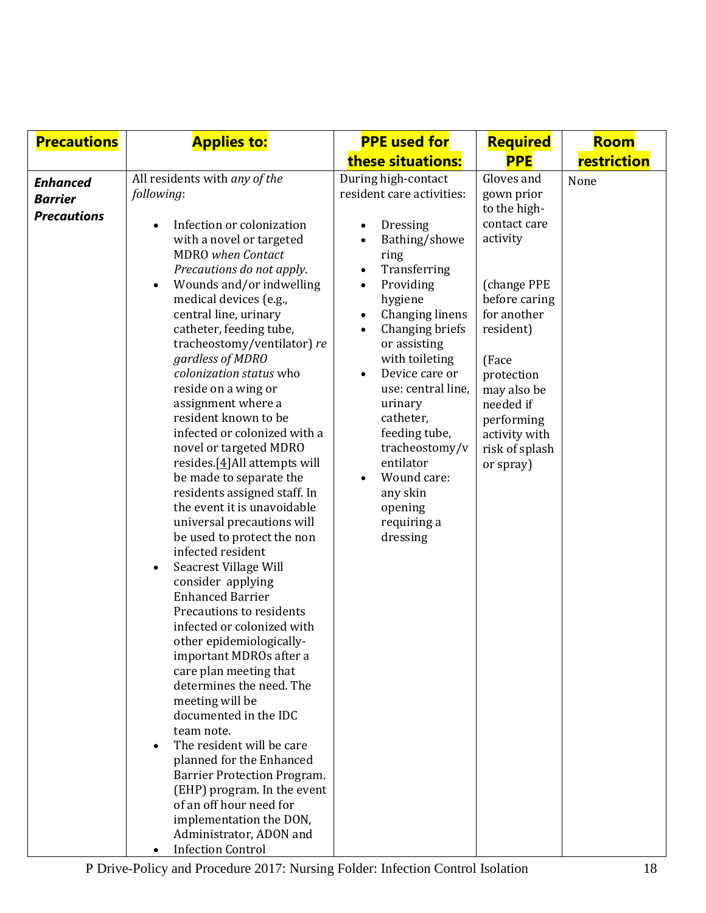| <b>Precautions</b>                                      | <b>Applies to:</b>                                                                                                                                                                                                                                                                                                                                                                                                                                                                                                                                                                                                                                                                                                                                                                                                                                                                                                                                                                                                                                                                                                                                                                                                                                               | <b>PPE used for</b>                                                                                                                                                                                                                                                                                                                                                                                              | <b>Required</b>                                                                                                                                                                                                                                   | <b>Room</b> |
|---------------------------------------------------------|------------------------------------------------------------------------------------------------------------------------------------------------------------------------------------------------------------------------------------------------------------------------------------------------------------------------------------------------------------------------------------------------------------------------------------------------------------------------------------------------------------------------------------------------------------------------------------------------------------------------------------------------------------------------------------------------------------------------------------------------------------------------------------------------------------------------------------------------------------------------------------------------------------------------------------------------------------------------------------------------------------------------------------------------------------------------------------------------------------------------------------------------------------------------------------------------------------------------------------------------------------------|------------------------------------------------------------------------------------------------------------------------------------------------------------------------------------------------------------------------------------------------------------------------------------------------------------------------------------------------------------------------------------------------------------------|---------------------------------------------------------------------------------------------------------------------------------------------------------------------------------------------------------------------------------------------------|-------------|
|                                                         |                                                                                                                                                                                                                                                                                                                                                                                                                                                                                                                                                                                                                                                                                                                                                                                                                                                                                                                                                                                                                                                                                                                                                                                                                                                                  | these situations:                                                                                                                                                                                                                                                                                                                                                                                                | <b>PPE</b>                                                                                                                                                                                                                                        | restriction |
| <b>Enhanced</b><br><b>Barrier</b><br><b>Precautions</b> | All residents with any of the<br>following:<br>Infection or colonization<br>with a novel or targeted<br><b>MDRO</b> when Contact<br>Precautions do not apply.<br>Wounds and/or indwelling<br>medical devices (e.g.,<br>central line, urinary<br>catheter, feeding tube,<br>tracheostomy/ventilator) re<br>gardless of MDRO<br>colonization status who<br>reside on a wing or<br>assignment where a<br>resident known to be<br>infected or colonized with a<br>novel or targeted MDRO<br>resides. [ $4$ ] All attempts will<br>be made to separate the<br>residents assigned staff. In<br>the event it is unavoidable<br>universal precautions will<br>be used to protect the non<br>infected resident<br>Seacrest Village Will<br>$\bullet$<br>consider applying<br><b>Enhanced Barrier</b><br>Precautions to residents<br>infected or colonized with<br>other epidemiologically-<br>important MDROs after a<br>care plan meeting that<br>determines the need. The<br>meeting will be<br>documented in the IDC<br>team note.<br>The resident will be care<br>planned for the Enhanced<br>Barrier Protection Program.<br>(EHP) program. In the event<br>of an off hour need for<br>implementation the DON,<br>Administrator, ADON and<br><b>Infection Control</b> | During high-contact<br>resident care activities:<br>Dressing<br>Bathing/showe<br>ring<br>Transferring<br>$\bullet$<br>Providing<br>$\bullet$<br>hygiene<br>Changing linens<br>Changing briefs<br>or assisting<br>with toileting<br>Device care or<br>use: central line,<br>urinary<br>catheter,<br>feeding tube,<br>tracheostomy/v<br>entilator<br>Wound care:<br>any skin<br>opening<br>requiring a<br>dressing | Gloves and<br>gown prior<br>to the high-<br>contact care<br>activity<br>(change PPE<br>before caring<br>for another<br>resident)<br>(Face<br>protection<br>may also be<br>needed if<br>performing<br>activity with<br>risk of splash<br>or spray) | None        |

P Drive-Policy and Procedure 2017: Nursing Folder: Infection Control Isolation 18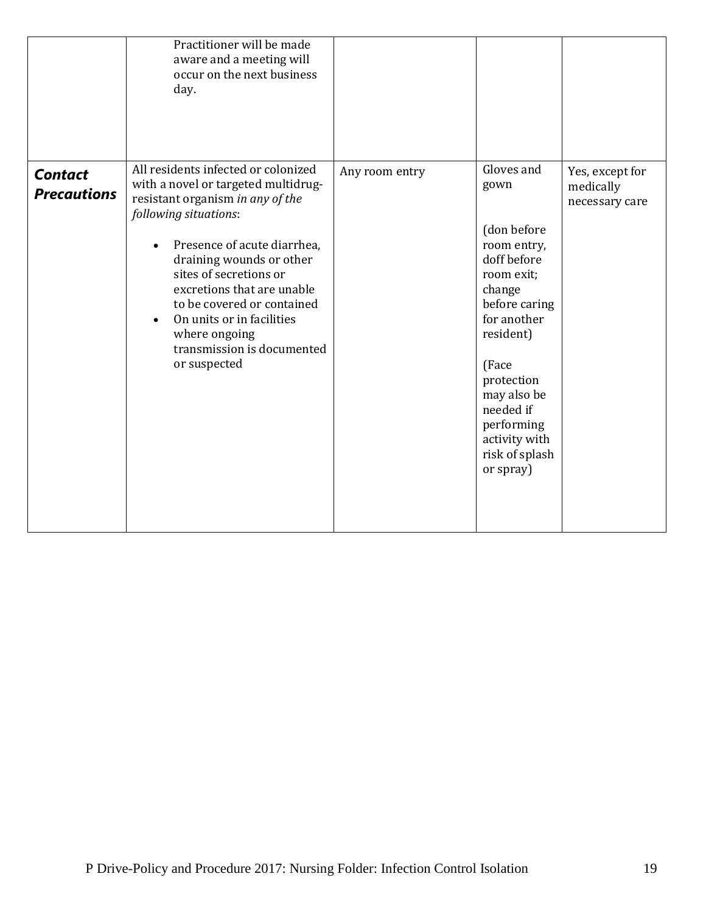|                                      | Practitioner will be made<br>aware and a meeting will<br>occur on the next business<br>day.                                                                                                                                                                                                                                                                                                       |                |                                                                                                                                                                                                                                                       |                                                |
|--------------------------------------|---------------------------------------------------------------------------------------------------------------------------------------------------------------------------------------------------------------------------------------------------------------------------------------------------------------------------------------------------------------------------------------------------|----------------|-------------------------------------------------------------------------------------------------------------------------------------------------------------------------------------------------------------------------------------------------------|------------------------------------------------|
| <b>Contact</b><br><b>Precautions</b> | All residents infected or colonized<br>with a novel or targeted multidrug-<br>resistant organism in any of the<br>following situations:<br>Presence of acute diarrhea,<br>draining wounds or other<br>sites of secretions or<br>excretions that are unable<br>to be covered or contained<br>On units or in facilities<br>$\bullet$<br>where ongoing<br>transmission is documented<br>or suspected | Any room entry | Gloves and<br>gown<br>(don before<br>room entry,<br>doff before<br>room exit;<br>change<br>before caring<br>for another<br>resident)<br>(Face<br>protection<br>may also be<br>needed if<br>performing<br>activity with<br>risk of splash<br>or spray) | Yes, except for<br>medically<br>necessary care |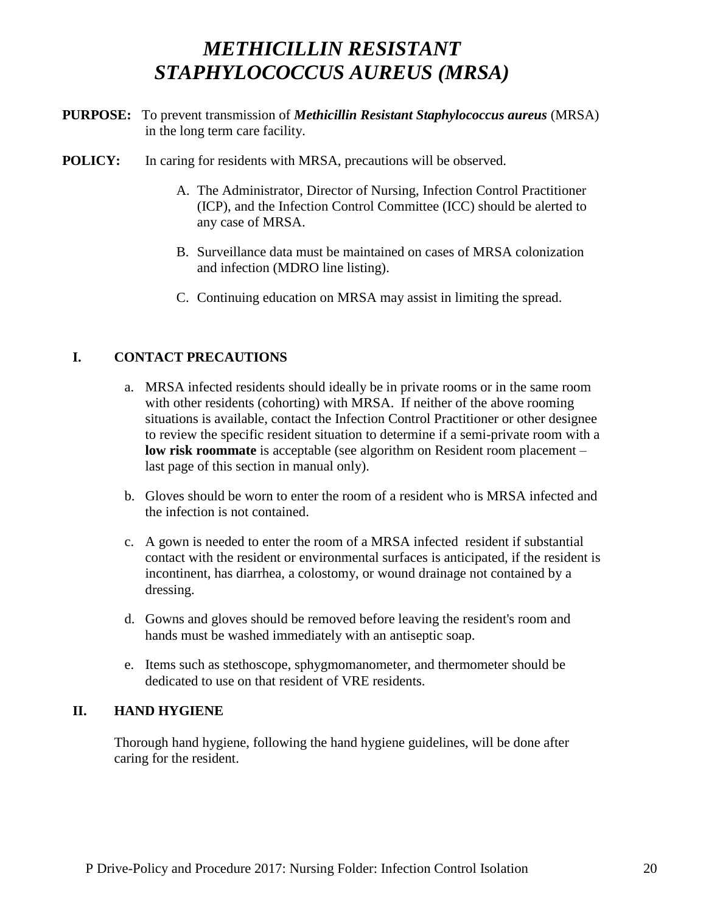# *METHICILLIN RESISTANT STAPHYLOCOCCUS AUREUS (MRSA)*

- **PURPOSE:** To prevent transmission of *Methicillin Resistant Staphylococcus aureus* (MRSA) in the long term care facility.
- **POLICY:** In caring for residents with MRSA, precautions will be observed.
	- A. The Administrator, Director of Nursing, Infection Control Practitioner (ICP), and the Infection Control Committee (ICC) should be alerted to any case of MRSA.
	- B. Surveillance data must be maintained on cases of MRSA colonization and infection (MDRO line listing).
	- C. Continuing education on MRSA may assist in limiting the spread.

## **I. CONTACT PRECAUTIONS**

- a. MRSA infected residents should ideally be in private rooms or in the same room with other residents (cohorting) with MRSA. If neither of the above rooming situations is available, contact the Infection Control Practitioner or other designee to review the specific resident situation to determine if a semi-private room with a **low risk roommate** is acceptable (see algorithm on Resident room placement – last page of this section in manual only).
- b. Gloves should be worn to enter the room of a resident who is MRSA infected and the infection is not contained.
- c. A gown is needed to enter the room of a MRSA infected resident if substantial contact with the resident or environmental surfaces is anticipated, if the resident is incontinent, has diarrhea, a colostomy, or wound drainage not contained by a dressing.
- d. Gowns and gloves should be removed before leaving the resident's room and hands must be washed immediately with an antiseptic soap.
- e. Items such as stethoscope, sphygmomanometer, and thermometer should be dedicated to use on that resident of VRE residents.

### **II. HAND HYGIENE**

Thorough hand hygiene, following the hand hygiene guidelines, will be done after caring for the resident.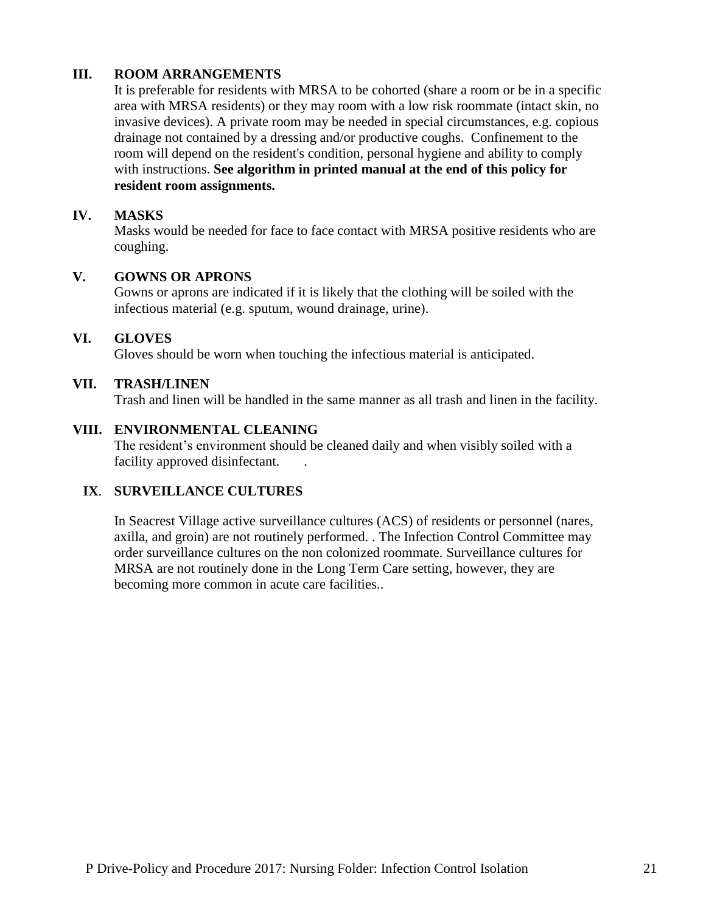## **III. ROOM ARRANGEMENTS**

It is preferable for residents with MRSA to be cohorted (share a room or be in a specific area with MRSA residents) or they may room with a low risk roommate (intact skin, no invasive devices). A private room may be needed in special circumstances, e.g. copious drainage not contained by a dressing and/or productive coughs. Confinement to the room will depend on the resident's condition, personal hygiene and ability to comply with instructions. **See algorithm in printed manual at the end of this policy for resident room assignments.**

#### **IV. MASKS**

Masks would be needed for face to face contact with MRSA positive residents who are coughing.

#### **V. GOWNS OR APRONS**

Gowns or aprons are indicated if it is likely that the clothing will be soiled with the infectious material (e.g. sputum, wound drainage, urine).

#### **VI. GLOVES**

Gloves should be worn when touching the infectious material is anticipated.

#### **VII. TRASH/LINEN**

Trash and linen will be handled in the same manner as all trash and linen in the facility.

#### **VIII. ENVIRONMENTAL CLEANING**

The resident's environment should be cleaned daily and when visibly soiled with a facility approved disinfectant.

### **IX**. **SURVEILLANCE CULTURES**

In Seacrest Village active surveillance cultures (ACS) of residents or personnel (nares, axilla, and groin) are not routinely performed. . The Infection Control Committee may order surveillance cultures on the non colonized roommate. Surveillance cultures for MRSA are not routinely done in the Long Term Care setting, however, they are becoming more common in acute care facilities..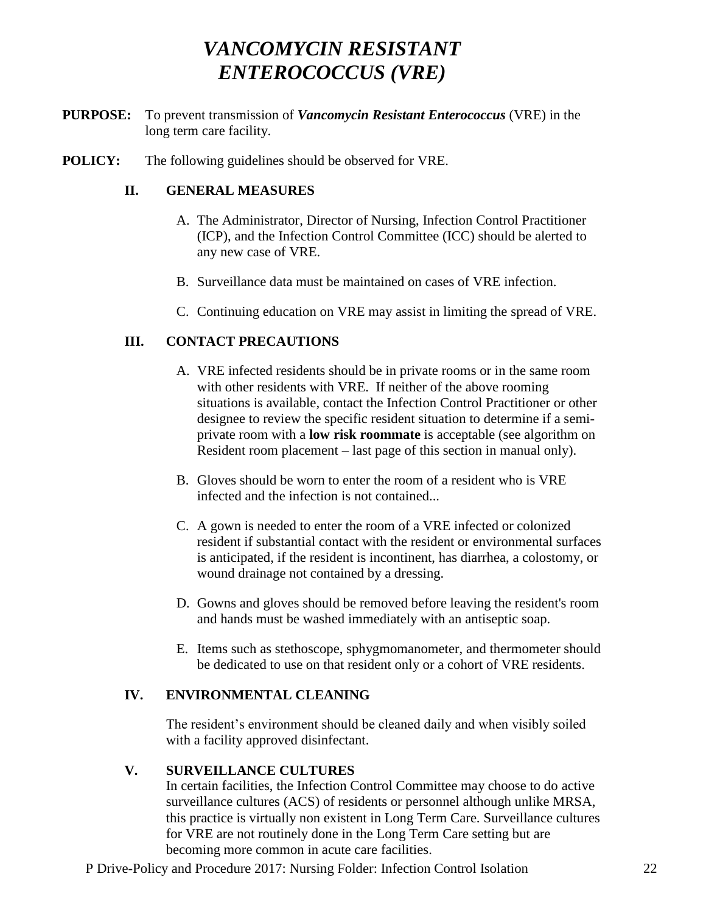# *VANCOMYCIN RESISTANT ENTEROCOCCUS (VRE)*

- **PURPOSE:** To prevent transmission of *Vancomycin Resistant Enterococcus* (VRE) in the long term care facility.
- **POLICY:** The following guidelines should be observed for VRE.

## **II. GENERAL MEASURES**

- A. The Administrator, Director of Nursing, Infection Control Practitioner (ICP), and the Infection Control Committee (ICC) should be alerted to any new case of VRE.
- B. Surveillance data must be maintained on cases of VRE infection.
- C. Continuing education on VRE may assist in limiting the spread of VRE.

## **III. CONTACT PRECAUTIONS**

- A. VRE infected residents should be in private rooms or in the same room with other residents with VRE. If neither of the above rooming situations is available, contact the Infection Control Practitioner or other designee to review the specific resident situation to determine if a semiprivate room with a **low risk roommate** is acceptable (see algorithm on Resident room placement – last page of this section in manual only).
- B. Gloves should be worn to enter the room of a resident who is VRE infected and the infection is not contained...
- C. A gown is needed to enter the room of a VRE infected or colonized resident if substantial contact with the resident or environmental surfaces is anticipated, if the resident is incontinent, has diarrhea, a colostomy, or wound drainage not contained by a dressing.
- D. Gowns and gloves should be removed before leaving the resident's room and hands must be washed immediately with an antiseptic soap.
- E. Items such as stethoscope, sphygmomanometer, and thermometer should be dedicated to use on that resident only or a cohort of VRE residents.

## **IV. ENVIRONMENTAL CLEANING**

The resident's environment should be cleaned daily and when visibly soiled with a facility approved disinfectant.

## **V. SURVEILLANCE CULTURES**

In certain facilities, the Infection Control Committee may choose to do active surveillance cultures (ACS) of residents or personnel although unlike MRSA, this practice is virtually non existent in Long Term Care. Surveillance cultures for VRE are not routinely done in the Long Term Care setting but are becoming more common in acute care facilities.

P Drive-Policy and Procedure 2017: Nursing Folder: Infection Control Isolation 22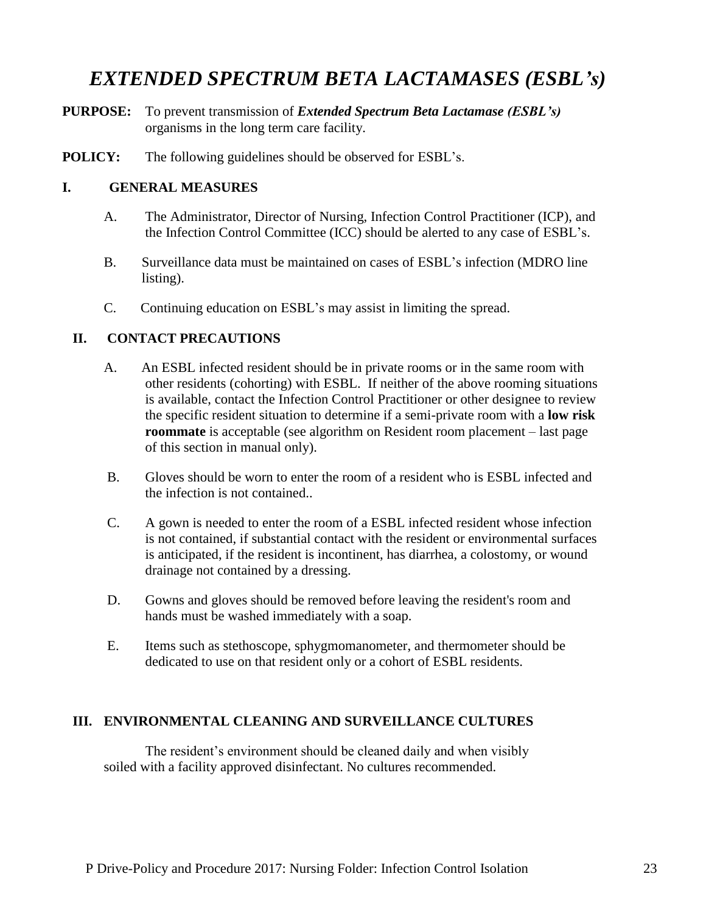# *EXTENDED SPECTRUM BETA LACTAMASES (ESBL's)*

- **PURPOSE:** To prevent transmission of *Extended Spectrum Beta Lactamase (ESBL's)* organisms in the long term care facility.
- **POLICY:** The following guidelines should be observed for ESBL's.

#### **I. GENERAL MEASURES**

- A. The Administrator, Director of Nursing, Infection Control Practitioner (ICP), and the Infection Control Committee (ICC) should be alerted to any case of ESBL's.
- B. Surveillance data must be maintained on cases of ESBL's infection (MDRO line listing).
- C. Continuing education on ESBL's may assist in limiting the spread.

#### **II. CONTACT PRECAUTIONS**

- A. An ESBL infected resident should be in private rooms or in the same room with other residents (cohorting) with ESBL. If neither of the above rooming situations is available, contact the Infection Control Practitioner or other designee to review the specific resident situation to determine if a semi-private room with a **low risk roommate** is acceptable (see algorithm on Resident room placement – last page of this section in manual only).
- B. Gloves should be worn to enter the room of a resident who is ESBL infected and the infection is not contained..
- C. A gown is needed to enter the room of a ESBL infected resident whose infection is not contained, if substantial contact with the resident or environmental surfaces is anticipated, if the resident is incontinent, has diarrhea, a colostomy, or wound drainage not contained by a dressing.
- D. Gowns and gloves should be removed before leaving the resident's room and hands must be washed immediately with a soap.
- E. Items such as stethoscope, sphygmomanometer, and thermometer should be dedicated to use on that resident only or a cohort of ESBL residents.

#### **III. ENVIRONMENTAL CLEANING AND SURVEILLANCE CULTURES**

The resident's environment should be cleaned daily and when visibly soiled with a facility approved disinfectant. No cultures recommended.